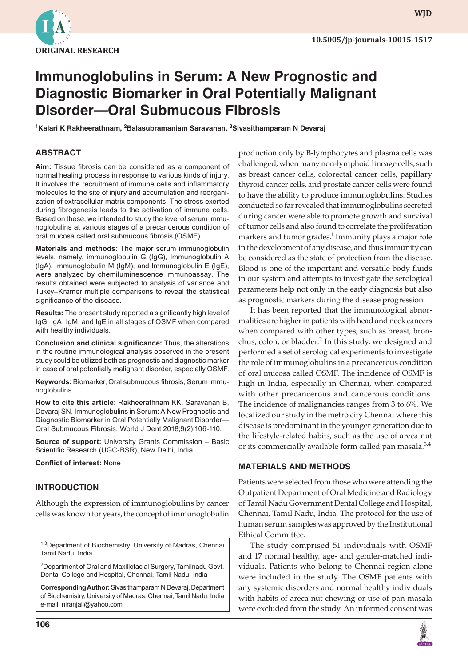

**wjd**

# **Immunoglobulins in Serum: A New Prognostic and Diagnostic Biomarker in Oral Potentially Malignant Disorder—Oral Submucous Fibrosis**

<sup>1</sup>Kalari K Rakheerathnam, <sup>2</sup>Balasubramaniam Saravanan, <sup>3</sup>Sivasithamparam N Devaraj

## **ABSTRACT**

**Aim:** Tissue fibrosis can be considered as a component of normal healing process in response to various kinds of injury. It involves the recruitment of immune cells and inflammatory molecules to the site of injury and accumulation and reorganization of extracellular matrix components. The stress exerted during fibrogenesis leads to the activation of immune cells. Based on these, we intended to study the level of serum immunoglobulins at various stages of a precancerous condition of oral mucosa called oral submucous fibrosis (OSMF).

**Materials and methods:** The major serum immunoglobulin levels, namely, immunoglobulin G (IgG), Immunoglobulin A (IgA), Immunoglobulin M (IgM), and Immunoglobulin E (IgE), were analyzed by chemiluminescence immunoassay. The results obtained were subjected to analysis of variance and Tukey–Kramer multiple comparisons to reveal the statistical significance of the disease.

**Results:** The present study reported a significantly high level of IgG, IgA, IgM, and IgE in all stages of OSMF when compared with healthy individuals.

**Conclusion and clinical significance:** Thus, the alterations in the routine immunological analysis observed in the present study could be utilized both as prognostic and diagnostic marker in case of oral potentially malignant disorder, especially OSMF.

**Keywords:** Biomarker, Oral submucous fibrosis, Serum immunoglobulins.

**How to cite this article:** Rakheerathnam KK, Saravanan B, Devaraj SN. Immunoglobulins in Serum: A New Prognostic and Diagnostic Biomarker in Oral Potentially Malignant Disorder— Oral Submucous Fibrosis. World J Dent 2018;9(2):106-110.

**Source of support:** University Grants Commission – Basic Scientific Research (UGC-BSR), New Delhi, India.

**Conflict of interest:** None

## **INTRODUCTION**

Although the expression of immunoglobulins by cancer cells was known for years, the concept of immunoglobulin

<sup>1,3</sup>Department of Biochemistry, University of Madras, Chennai Tamil Nadu, India

<sup>2</sup>Department of Oral and Maxillofacial Surgery, Tamilnadu Govt. Dental College and Hospital, Chennai, Tamil Nadu, India

**Corresponding Author:** Sivasithamparam N Devaraj, Department of Biochemistry, University of Madras, Chennai, Tamil Nadu, India e-mail: niranjali@yahoo.com

production only by B-lymphocytes and plasma cells was challenged, when many non-lymphoid lineage cells, such as breast cancer cells, colorectal cancer cells, papillary thyroid cancer cells, and prostate cancer cells were found to have the ability to produce immunoglobulins. Studies conducted so far revealed that immunoglobulins secreted during cancer were able to promote growth and survival of tumor cells and also found to correlate the proliferation markers and tumor grades. $^1$  Immunity plays a major role in the development of any disease, and thus immunity can be considered as the state of protection from the disease. Blood is one of the important and versatile body fluids in our system and attempts to investigate the serological parameters help not only in the early diagnosis but also as prognostic markers during the disease progression.

It has been reported that the immunological abnormalities are higher in patients with head and neck cancers when compared with other types, such as breast, bronchus, colon, or bladder.<sup>2</sup> In this study, we designed and performed a set of serological experiments to investigate the role of immunoglobulins in a precancerous condition of oral mucosa called OSMF. The incidence of OSMF is high in India, especially in Chennai, when compared with other precancerous and cancerous conditions. The incidence of malignancies ranges from 3 to 6%. We localized our study in the metro city Chennai where this disease is predominant in the younger generation due to the lifestyle-related habits, such as the use of areca nut or its commercially available form called pan masala.<sup>3,4</sup>

#### **MATERIALS AND METHODS**

Patients were selected from those who were attending the Outpatient Department of Oral Medicine and Radiology of Tamil Nadu Government Dental College and Hospital, Chennai, Tamil Nadu, India. The protocol for the use of human serum samples was approved by the Institutional Ethical Committee.

The study comprised 51 individuals with OSMF and 17 normal healthy, age- and gender-matched individuals. Patients who belong to Chennai region alone were included in the study. The OSMF patients with any systemic disorders and normal healthy individuals with habits of areca nut chewing or use of pan masala were excluded from the study. An informed consent was

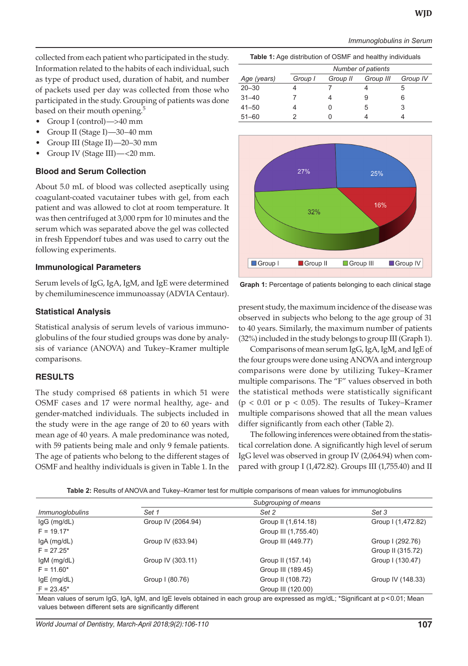*Immunoglobulins in Serum*

collected from each patient who participated in the study. Information related to the habits of each individual, such as type of product used, duration of habit, and number of packets used per day was collected from those who participated in the study. Grouping of patients was done based on their mouth opening.<sup>5</sup>

- Group I (control)—>40 mm
- Group II (Stage I)—30-40 mm
- Group III (Stage II)-20-30 mm
- Group IV (Stage III)—<20 mm.

#### **Blood and Serum Collection**

About 5.0 mL of blood was collected aseptically using coagulant-coated vacutainer tubes with gel, from each patient and was allowed to clot at room temperature. It was then centrifuged at 3,000 rpm for 10 minutes and the serum which was separated above the gel was collected in fresh Eppendorf tubes and was used to carry out the following experiments.

#### **Immunological Parameters**

Serum levels of IgG, IgA, IgM, and IgE were determined by chemiluminescence immunoassay (ADVIA Centaur).

## **Statistical Analysis**

Statistical analysis of serum levels of various immunoglobulins of the four studied groups was done by analysis of variance (ANOVA) and Tukey–Kramer multiple comparisons.

## **RESULTS**

The study comprised 68 patients in which 51 were OSMF cases and 17 were normal healthy, age- and gender-matched individuals. The subjects included in the study were in the age range of 20 to 60 years with mean age of 40 years. A male predominance was noted, with 59 patients being male and only 9 female patients. The age of patients who belong to the different stages of OSMF and healthy individuals is given in Table 1. In the

|             | Number of patients |          |           |          |
|-------------|--------------------|----------|-----------|----------|
| Age (years) | Group I            | Group II | Group III | Group IV |
| $20 - 30$   |                    |          |           | b        |
| $31 - 40$   |                    |          | 9         | 6        |
| $41 - 50$   |                    |          | 5         | 3        |
| $51 - 60$   |                    |          |           |          |

**Table 1:** Age distribution of OSMF and healthy individuals



**Graph 1:** Percentage of patients belonging to each clinical stage

present study, the maximum incidence of the disease was observed in subjects who belong to the age group of 31 to 40 years. Similarly, the maximum number of patients (32%) included in the study belongs to group III(Graph 1).

Comparisons of mean serum IgG, IgA, IgM, and IgE of the four groups were done using ANOVA and intergroup comparisons were done by utilizing Tukey–Kramer multiple comparisons. The "F" values observed in both the statistical methods were statistically significant ( $p < 0.01$  or  $p < 0.05$ ). The results of Tukey–Kramer multiple comparisons showed that all the mean values differ significantly from each other (Table 2).

The following inferences were obtained from the statistical correlation done. A significantly high level of serum IgG level was observed in group IV (2,064.94) when compared with group I (1,472.82). Groups III (1,755.40) and II

|                        |                    | Subgrouping of means |                    |
|------------------------|--------------------|----------------------|--------------------|
| <i>Immunoglobulins</i> | Set 1              | Set 2                | Set 3              |
| IgG (mg/dL)            | Group IV (2064.94) | Group II (1,614.18)  | Group I (1,472.82) |
| $F = 19.17*$           |                    | Group III (1,755.40) |                    |
| $lgA$ (mg/dL)          | Group IV (633.94)  | Group III (449.77)   | Group I (292.76)   |
| $F = 27.25*$           |                    |                      | Group II (315.72)  |
| IgM (mg/dL)            | Group IV (303.11)  | Group II (157.14)    | Group I (130.47)   |
| $F = 11.60*$           |                    | Group III (189.45)   |                    |
| $lgE$ (mg/dL)          | Group I (80.76)    | Group II (108.72)    | Group IV (148.33)  |
| $F = 23.45*$           |                    | Group III (120.00)   |                    |

Mean values of serum IgG, IgA, IgM, and IgE levels obtained in each group are expressed as mg/dL; \*Significant at p<0.01; Mean values between different sets are significantly different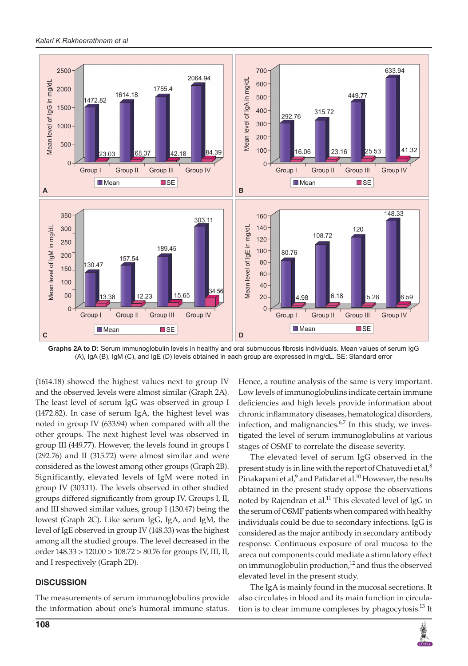

**Graphs 2A to D:** Serum immunoglobulin levels in healthy and oral submucous fibrosis individuals. Mean values of serum IgG (A), IgA (B), IgM (C), and IgE (D) levels obtained in each group are expressed in mg/dL. SE: Standard error

(1614.18) showed the highest values next to group IV and the observed levels were almost similar (Graph 2A). The least level of serum IgG was observed in group I (1472.82). In case of serum IgA, the highest level was noted in group IV (633.94) when compared with all the other groups. The next highest level was observed in group III (449.77). However, the levels found in groups I (292.76) and II (315.72) were almost similar and were considered as the lowest among other groups (Graph 2B). Significantly, elevated levels of IgM were noted in group IV (303.11). The levels observed in other studied groups differed significantly from group IV. Groups I, II, and III showed similar values, group I (130.47) being the lowest (Graph 2C). Like serum IgG, IgA, and IgM, the level of IgE observed in group IV (148.33) was the highest among all the studied groups. The level decreased in the order 148.33 > 120.00 > 108.72 > 80.76 for groups IV, III, II, and I respectively (Graph 2D).

# **DISCUSSION**

The measurements of serum immunoglobulins provide the information about one's humoral immune status. Hence, a routine analysis of the same is very important. Low levels of immunoglobulins indicate certain immune deficiencies and high levels provide information about chronic inflammatory diseases, hematological disorders, infection, and malignancies. $6.7$  In this study, we investigated the level of serum immunoglobulins at various stages of OSMF to correlate the disease severity.

The elevated level of serum IgG observed in the present study is in line with the report of Chatuvedi et al, $^8$ Pinakapani et al, $^9$  and Patidar et al. $^{10}$  However, the results obtained in the present study oppose the observations noted by Rajendran et al.<sup>11</sup> This elevated level of IgG in the serum of OSMF patients when compared with healthy individuals could be due to secondary infections. IgG is considered as the major antibody in secondary antibody response. Continuous exposure of oral mucosa to the areca nut components could mediate a stimulatory effect on immunoglobulin production, $12$  and thus the observed elevated level in the present study.

The IgA is mainly found in the mucosal secretions. It also circulates in blood and its main function in circulation is to clear immune complexes by phagocytosis.<sup>13</sup> It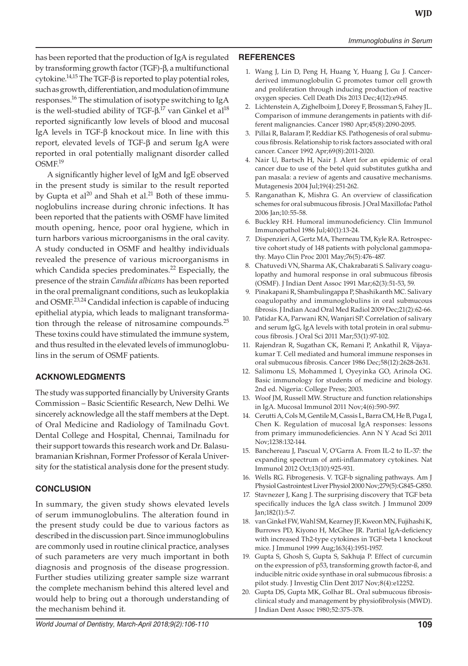has been reported that the production of IgA is regulated by transforming growth factor(TGF)-β, a multifunctional cytokine. $^{14,15}$  The TGF- $\beta$  is reported to play potential roles, such as growth, differentiation, and modulation of immune responses.16 The stimulation of isotype switching to IgA is the well-studied ability of TGF- $\beta$ .<sup>17</sup> van Ginkel et al $^{18}$ reported significantly low levels of blood and mucosal IgA levels in TGF-β knockout mice. In line with this report, elevated levels of TGF-β and serum IgA were reported in oral potentially malignant disorder called OSMF.<sup>19</sup>

A significantly higher level of IgM and IgE observed in the present study is similar to the result reported by Gupta et  $al^{20}$  and Shah et al.<sup>21</sup> Both of these immunoglobulins increase during chronic infections. It has been reported that the patients with OSMF have limited mouth opening, hence, poor oral hygiene, which in turn harbors various microorganisms in the oral cavity. A study conducted in OSMF and healthy individuals revealed the presence of various microorganisms in which Candida species predominates.<sup>22</sup> Especially, the presence of the strain *Candida albicans* has been reported in the oral premalignant conditions, such as leukoplakia and OSMF.<sup>23,24</sup> Candidal infection is capable of inducing epithelial atypia, which leads to malignant transformation through the release of nitrosamine compounds. $^{25}$ These toxins could have stimulated the immune system, and thus resulted in the elevated levels of immunoglobulins in the serum of OSMF patients.

# **AcknowledgmentS**

The study was supported financially by University Grants Commission – Basic Scientific Research, New Delhi. We sincerely acknowledge all the staff members at the Dept. of Oral Medicine and Radiology of Tamilnadu Govt. Dental College and Hospital, Chennai, Tamilnadu for their support towards this research work and Dr. Balasubramanian Krishnan, Former Professor of Kerala University for the statistical analysis done for the present study.

# **CONCLUSION**

In summary, the given study shows elevated levels of serum immunoglobulins. The alteration found in the present study could be due to various factors as described in the discussion part. Since immunoglobulins are commonly used in routine clinical practice, analyses of such parameters are very much important in both diagnosis and prognosis of the disease progression. Further studies utilizing greater sample size warrant the complete mechanism behind this altered level and would help to bring out a thorough understanding of the mechanism behind it.

## **REFERENCES**

- 1. Wang J, Lin D, Peng H, Huang Y, Huang J, Gu J. Cancerderived immunoglobulin G promotes tumor cell growth and proliferation through inducing production of reactive oxygen species. Cell Death Dis 2013 Dec;4(12):e945.
- 2. Lichtenstein A, Zighelboim J, Dorey F, Brossman S, Fahey JL. Comparison of immune derangements in patients with different malignancies. Cancer 1980 Apr;45(8):2090-2095.
- 3. Pillai R, Balaram P, Reddiar KS. Pathogenesis of oral submucous fibrosis. Relationship to risk factors associated with oral cancer. Cancer 1992 Apr;69(8):2011-2020.
- 4. Nair U, Bartsch H, Nair J. Alert for an epidemic of oral cancer due to use of the betel quid substitutes gutkha and pan masala: a review of agents and causative mechanisms. Mutagenesis 2004 Jul;19(4):251-262.
- 5. Ranganathan K, Mishra G. An overview of classification schemes for oral submucous fibrosis. J Oral Maxillofac Pathol 2006 Jan;10:55-58.
- 6. Buckley RH. Humoral immunodeficiency. Clin Immunol Immunopathol 1986 Jul;40(1):13-24.
- 7. Dispenzieri A, Gertz MA, Therneau TM, Kyle RA. Retrospective cohort study of 148 patients with polyclonal gammopathy. Mayo Clin Proc 2001 May;76(5):476-487.
- 8. Chatuvedi VN, Sharma AK, Chakrabarati S. Salivary coagulopathy and humoral response in oral submucous fibrosis (OSMF). J Indian Dent Assoc 1991 Mar;62(3):51-53, 59.
- 9. Pinakapani R, Shambulingappa P, Shashikanth MC. Salivary coagulopathy and immunoglobulins in oral submucous fibrosis. J Indian Acad Oral Med Radiol 2009 Dec;21(2):62-66.
- 10. Patidar KA, Parwani RN, Wanjari SP. Correlation of salivary and serum IgG, IgA levels with total protein in oral submucous fibrosis. J Oral Sci 2011 Mar;53(1):97-102.
- 11. Rajendran R, Sugathan CK, Remani P, Ankathil R, Vijayakumar T. Cell mediated and humoral immune responses in oral submucous fibrosis. Cancer 1986 Dec;58(12):2628-2631.
- 12. Salimonu LS, Mohammed I, Oyeyinka GO, Arinola OG. Basic immunology for students of medicine and biology. 2nd ed. Nigeria: College Press; 2003.
- 13. Woof JM, Russell MW. Structure and function relationships in IgA. Mucosal Immunol 2011 Nov;4(6):590-597.
- 14. Cerutti A, Cols M, Gentile M, Cassis L, Barra CM, He B, Puga I, Chen K. Regulation of mucosal IgA responses: lessons from primary immunodeficiencies. Ann N Y Acad Sci 2011 Nov;1238:132-144.
- 15. Banchereau J, Pascual V, O'Garra A. From IL-2 to IL-37: the expanding spectrum of anti-inflammatory cytokines. Nat Immunol 2012 Oct;13(10):925-931.
- 16. Wells RG. Fibrogenesis. V. TGF-b signaling pathways. Am J Physiol Gastrointest Liver Physiol 2000 Nov; 279(5): G845-G850.
- 17. Stavnezer J, Kang J. The surprising discovery that TGF beta specifically induces the IgA class switch. J Immunol 2009 Jan;182(1):5-7.
- 18. van Ginkel FW, Wahl SM, Kearney JF, Kweon MN, Fujihashi K, Burrows PD, Kiyono H, McGhee JR. Partial IgA-deficiency with increased Th2-type cytokines in TGF-beta 1 knockout mice. J Immunol 1999 Aug;163(4):1951-1957.
- 19. Gupta S, Ghosh S, Gupta S, Sakhuja P. Effect of curcumin on the expression of p53, transforming growth factor-ß, and inducible nitric oxide synthase in oral submucous fibrosis: a pilot study. J Investig Clin Dent 2017 Nov;8(4):e12252.
- 20. Gupta DS, Gupta MK, Golhar BL. Oral submucous fibrosisclinical study and management by physiofibrolysis (MWD). J Indian Dent Assoc 1980;52:375-378.